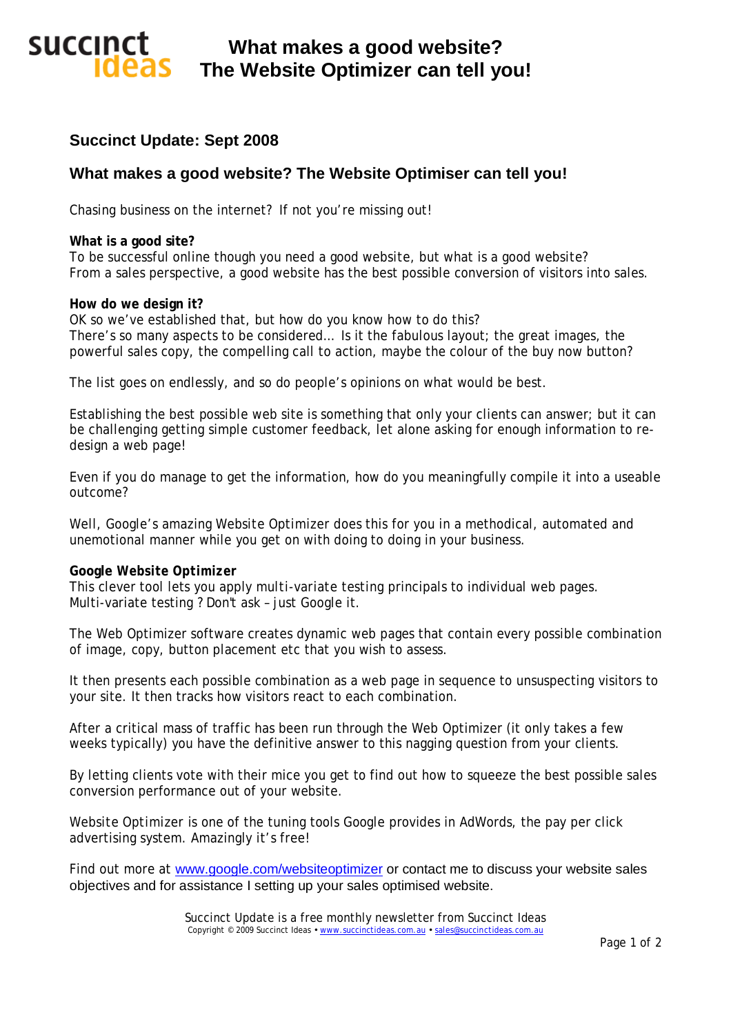# **succinct What makes a good website? The Website Optimizer can tell you!**

## **Succinct Update: Sept 2008**

### **What makes a good website? The Website Optimiser can tell you!**

Chasing business on the internet? If not you're missing out!

### **What is a good site?**

To be successful online though you need a *good website*, but what is a *good website*? From a sales perspective, a good website has the best possible conversion of visitors into sales.

### **How do we design it?**

OK so we've established that, but how do you know how to do this? There's so many aspects to be considered… Is it the fabulous layout; the great images, the powerful sales copy, the compelling call to action, maybe the colour of the buy now button?

The list goes on endlessly, and so do people's opinions on what would be best.

Establishing the best *possible* web site is something that only your clients can answer; but it can be challenging getting simple customer feedback, let alone asking for enough information to redesign a web page!

Even if you do manage to get the information, how do you meaningfully compile it into a useable outcome?

Well, Google's amazing *Website Optimizer* does this for you in a methodical, automated and unemotional manner while you get on with doing to doing in your business.

### **Google** *Website Optimizer*

This clever tool lets you apply *multi-variate testing* principals to individual web pages. Multi-variate testing ? Don't ask – just Google it.

The Web Optimizer software creates dynamic web pages that contain every possible combination of image, copy, button placement etc that you wish to assess.

It then presents each possible combination as a web page in sequence to unsuspecting visitors to your site. It then tracks how visitors react to each combination.

After a critical mass of traffic has been run through the Web Optimizer (it only takes a few weeks typically) you have the definitive answer to this nagging question from your clients.

By letting clients vote with their mice you get to find out how to squeeze the best possible sales conversion performance out of your website.

*Website Optimizer* is one of the tuning tools Google provides in AdWords, the pay per click advertising system. Amazingly it's free!

Find out more at [www.google.com/websiteoptimizer](http://www.google.com/websiteoptimizer) or contact me to discuss your website sales objectives and for assistance I setting up your sales optimised website.

> Succinct Update is a free monthly newsletter from Succinct Ideas Copyright © 2009 Succinct Ideas · [www.succinctideas.com.au](http://www.succinctideas.com.au) · [sales@succinctideas.com.au](mailto:sales@succinctideas.com.au)